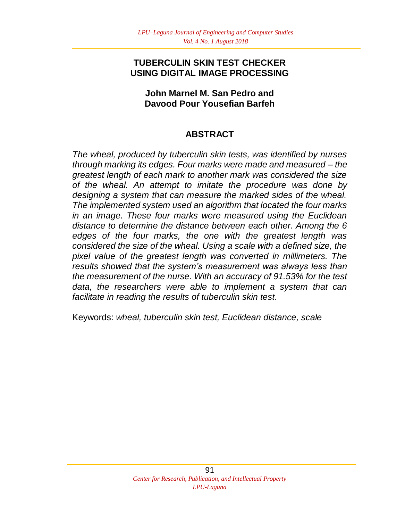### **TUBERCULIN SKIN TEST CHECKER USING DIGITAL IMAGE PROCESSING**

#### **John Marnel M. San Pedro and Davood Pour Yousefian Barfeh**

# **ABSTRACT**

*The wheal, produced by tuberculin skin tests, was identified by nurses through marking its edges. Four marks were made and measured – the greatest length of each mark to another mark was considered the size of the wheal. An attempt to imitate the procedure was done by designing a system that can measure the marked sides of the wheal. The implemented system used an algorithm that located the four marks in an image. These four marks were measured using the Euclidean distance to determine the distance between each other. Among the 6 edges of the four marks, the one with the greatest length was considered the size of the wheal. Using a scale with a defined size, the pixel value of the greatest length was converted in millimeters. The results showed that the system's measurement was always less than the measurement of the nurse. With an accuracy of 91.53% for the test data, the researchers were able to implement a system that can facilitate in reading the results of tuberculin skin test.* 

Keywords: *wheal, tuberculin skin test, Euclidean distance, scale*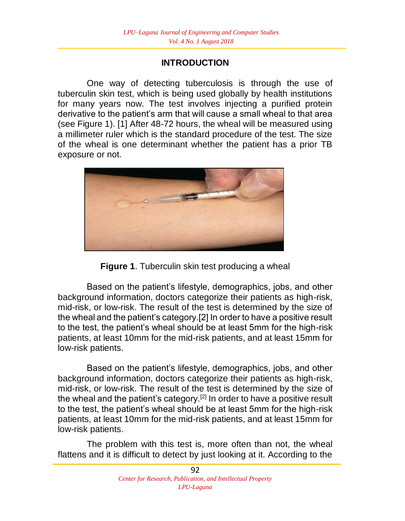# **INTRODUCTION**

One way of detecting tuberculosis is through the use of tuberculin skin test, which is being used globally by health institutions for many years now. The test involves injecting a purified protein derivative to the patient's arm that will cause a small wheal to that area (see Figure 1). [1] After 48-72 hours, the wheal will be measured using a millimeter ruler which is the standard procedure of the test. The size of the wheal is one determinant whether the patient has a prior TB exposure or not.



**Figure 1**. Tuberculin skin test producing a wheal

Based on the patient's lifestyle, demographics, jobs, and other background information, doctors categorize their patients as high-risk, mid-risk, or low-risk. The result of the test is determined by the size of the wheal and the patient's category.[2] In order to have a positive result to the test, the patient's wheal should be at least 5mm for the high-risk patients, at least 10mm for the mid-risk patients, and at least 15mm for low-risk patients.

Based on the patient's lifestyle, demographics, jobs, and other background information, doctors categorize their patients as high-risk, mid-risk, or low-risk. The result of the test is determined by the size of the wheal and the patient's category.<sup>[2]</sup> In order to have a positive result to the test, the patient's wheal should be at least 5mm for the high-risk patients, at least 10mm for the mid-risk patients, and at least 15mm for low-risk patients.

The problem with this test is, more often than not, the wheal flattens and it is difficult to detect by just looking at it. According to the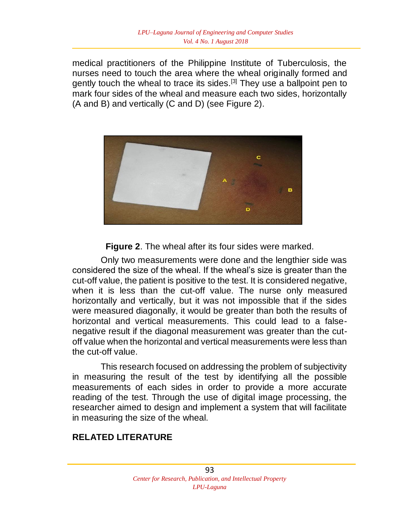medical practitioners of the Philippine Institute of Tuberculosis, the nurses need to touch the area where the wheal originally formed and gently touch the wheal to trace its sides.<sup>[3]</sup> They use a ballpoint pen to mark four sides of the wheal and measure each two sides, horizontally (A and B) and vertically (C and D) (see Figure 2).



**Figure 2**. The wheal after its four sides were marked.

Only two measurements were done and the lengthier side was considered the size of the wheal. If the wheal's size is greater than the cut-off value, the patient is positive to the test. It is considered negative, when it is less than the cut-off value. The nurse only measured horizontally and vertically, but it was not impossible that if the sides were measured diagonally, it would be greater than both the results of horizontal and vertical measurements. This could lead to a falsenegative result if the diagonal measurement was greater than the cutoff value when the horizontal and vertical measurements were less than the cut-off value.

This research focused on addressing the problem of subjectivity in measuring the result of the test by identifying all the possible measurements of each sides in order to provide a more accurate reading of the test. Through the use of digital image processing, the researcher aimed to design and implement a system that will facilitate in measuring the size of the wheal.

### **RELATED LITERATURE**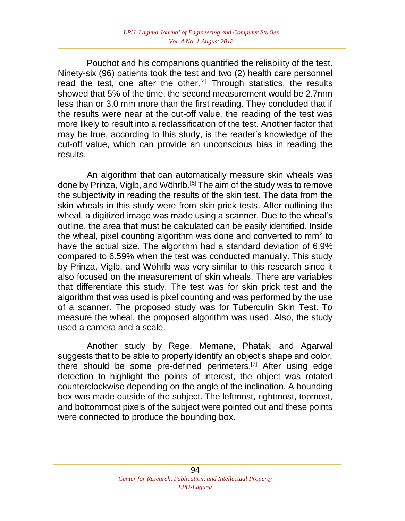Pouchot and his companions quantified the reliability of the test. Ninety-six (96) patients took the test and two (2) health care personnel read the test, one after the other.<sup>[4]</sup> Through statistics, the results showed that 5% of the time, the second measurement would be 2.7mm less than or 3.0 mm more than the first reading. They concluded that if the results were near at the cut-off value, the reading of the test was more likely to result into a reclassification of the test. Another factor that may be true, according to this study, is the reader's knowledge of the cut-off value, which can provide an unconscious bias in reading the results.

An algorithm that can automatically measure skin wheals was done by Prinza, Viglb, and Wöhrlb.<sup>[5]</sup> The aim of the study was to remove the subjectivity in reading the results of the skin test. The data from the skin wheals in this study were from skin prick tests. After outlining the wheal, a digitized image was made using a scanner. Due to the wheal's outline, the area that must be calculated can be easily identified. Inside the wheal, pixel counting algorithm was done and converted to  $mm<sup>2</sup>$  to have the actual size. The algorithm had a standard deviation of 6.9% compared to 6.59% when the test was conducted manually. This study by Prinza, Viglb, and Wöhrlb was very similar to this research since it also focused on the measurement of skin wheals. There are variables that differentiate this study. The test was for skin prick test and the algorithm that was used is pixel counting and was performed by the use of a scanner. The proposed study was for Tuberculin Skin Test. To measure the wheal, the proposed algorithm was used. Also, the study used a camera and a scale.

Another study by Rege, Memane, Phatak, and Agarwal suggests that to be able to properly identify an object's shape and color, there should be some pre-defined perimeters.<sup>[7]</sup> After using edge detection to highlight the points of interest, the object was rotated counterclockwise depending on the angle of the inclination. A bounding box was made outside of the subject. The leftmost, rightmost, topmost, and bottommost pixels of the subject were pointed out and these points were connected to produce the bounding box.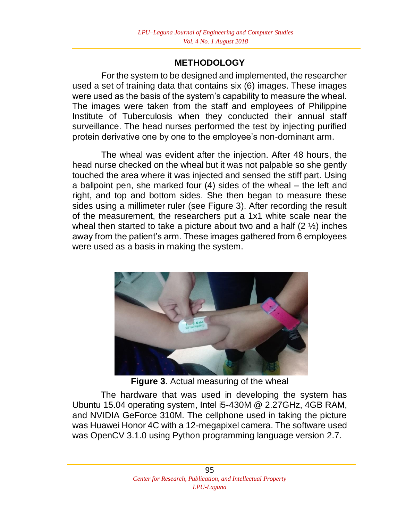## **METHODOLOGY**

For the system to be designed and implemented, the researcher used a set of training data that contains six (6) images. These images were used as the basis of the system's capability to measure the wheal. The images were taken from the staff and employees of Philippine Institute of Tuberculosis when they conducted their annual staff surveillance. The head nurses performed the test by injecting purified protein derivative one by one to the employee's non-dominant arm.

The wheal was evident after the injection. After 48 hours, the head nurse checked on the wheal but it was not palpable so she gently touched the area where it was injected and sensed the stiff part. Using a ballpoint pen, she marked four (4) sides of the wheal – the left and right, and top and bottom sides. She then began to measure these sides using a millimeter ruler (see Figure 3). After recording the result of the measurement, the researchers put a 1x1 white scale near the wheal then started to take a picture about two and a half (2 ½) inches away from the patient's arm. These images gathered from 6 employees were used as a basis in making the system.



**Figure 3**. Actual measuring of the wheal

The hardware that was used in developing the system has Ubuntu 15.04 operating system, Intel i5-430M @ 2.27GHz, 4GB RAM, and NVIDIA GeForce 310M. The cellphone used in taking the picture was Huawei Honor 4C with a 12-megapixel camera. The software used was OpenCV 3.1.0 using Python programming language version 2.7.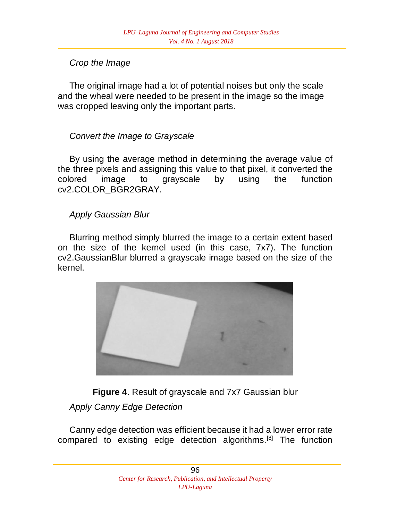# *Crop the Image*

The original image had a lot of potential noises but only the scale and the wheal were needed to be present in the image so the image was cropped leaving only the important parts.

# *Convert the Image to Grayscale*

By using the average method in determining the average value of the three pixels and assigning this value to that pixel, it converted the colored image to grayscale by using the function cv2.COLOR\_BGR2GRAY.

# *Apply Gaussian Blur*

Blurring method simply blurred the image to a certain extent based on the size of the kernel used (in this case, 7x7). The function cv2.GaussianBlur blurred a grayscale image based on the size of the kernel.



**Figure 4**. Result of grayscale and 7x7 Gaussian blur

# *Apply Canny Edge Detection*

Canny edge detection was efficient because it had a lower error rate compared to existing edge detection algorithms.<sup>[8]</sup> The function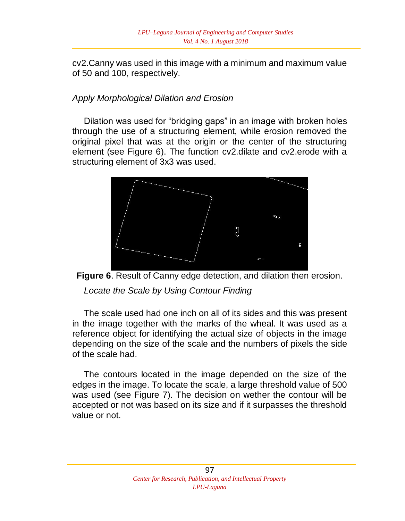cv2.Canny was used in this image with a minimum and maximum value of 50 and 100, respectively.

## *Apply Morphological Dilation and Erosion*

Dilation was used for "bridging gaps" in an image with broken holes through the use of a structuring element, while erosion removed the original pixel that was at the origin or the center of the structuring element (see Figure 6). The function cv2.dilate and cv2.erode with a structuring element of 3x3 was used.





*Locate the Scale by Using Contour Finding*

The scale used had one inch on all of its sides and this was present in the image together with the marks of the wheal. It was used as a reference object for identifying the actual size of objects in the image depending on the size of the scale and the numbers of pixels the side of the scale had.

The contours located in the image depended on the size of the edges in the image. To locate the scale, a large threshold value of 500 was used (see Figure 7). The decision on wether the contour will be accepted or not was based on its size and if it surpasses the threshold value or not.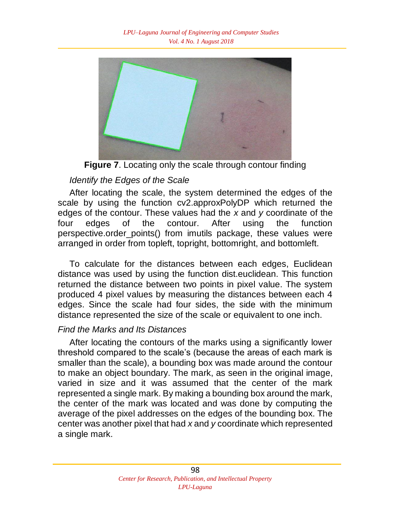

**Figure 7**. Locating only the scale through contour finding

# *Identify the Edges of the Scale*

After locating the scale, the system determined the edges of the scale by using the function cv2.approxPolyDP which returned the edges of the contour. These values had the *x* and *y* coordinate of the four edges of the contour. After using the function perspective.order\_points() from imutils package, these values were arranged in order from topleft, topright, bottomright, and bottomleft.

To calculate for the distances between each edges, Euclidean distance was used by using the function dist.euclidean. This function returned the distance between two points in pixel value. The system produced 4 pixel values by measuring the distances between each 4 edges. Since the scale had four sides, the side with the minimum distance represented the size of the scale or equivalent to one inch.

# *Find the Marks and Its Distances*

After locating the contours of the marks using a significantly lower threshold compared to the scale's (because the areas of each mark is smaller than the scale), a bounding box was made around the contour to make an object boundary. The mark, as seen in the original image, varied in size and it was assumed that the center of the mark represented a single mark. By making a bounding box around the mark, the center of the mark was located and was done by computing the average of the pixel addresses on the edges of the bounding box. The center was another pixel that had *x* and *y* coordinate which represented a single mark.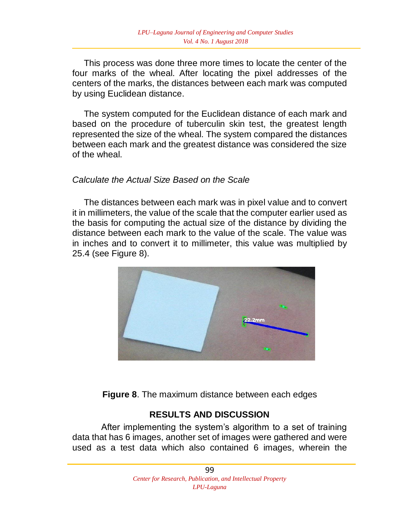This process was done three more times to locate the center of the four marks of the wheal. After locating the pixel addresses of the centers of the marks, the distances between each mark was computed by using Euclidean distance.

The system computed for the Euclidean distance of each mark and based on the procedure of tuberculin skin test, the greatest length represented the size of the wheal. The system compared the distances between each mark and the greatest distance was considered the size of the wheal.

#### *Calculate the Actual Size Based on the Scale*

The distances between each mark was in pixel value and to convert it in millimeters, the value of the scale that the computer earlier used as the basis for computing the actual size of the distance by dividing the distance between each mark to the value of the scale. The value was in inches and to convert it to millimeter, this value was multiplied by 25.4 (see Figure 8).



**Figure 8**. The maximum distance between each edges

#### **RESULTS AND DISCUSSION**

After implementing the system's algorithm to a set of training data that has 6 images, another set of images were gathered and were used as a test data which also contained 6 images, wherein the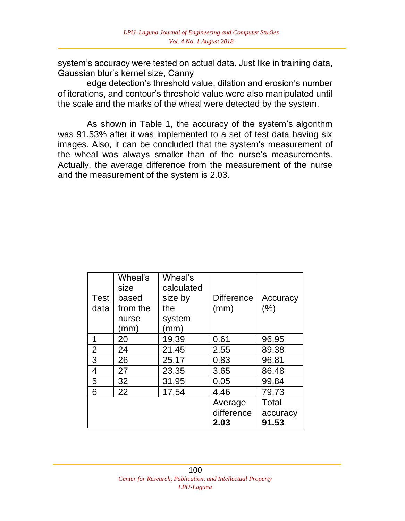system's accuracy were tested on actual data. Just like in training data, Gaussian blur's kernel size, Canny

edge detection's threshold value, dilation and erosion's number of iterations, and contour's threshold value were also manipulated until the scale and the marks of the wheal were detected by the system.

As shown in Table 1, the accuracy of the system's algorithm was 91.53% after it was implemented to a set of test data having six images. Also, it can be concluded that the system's measurement of the wheal was always smaller than of the nurse's measurements. Actually, the average difference from the measurement of the nurse and the measurement of the system is 2.03.

| Test<br>data | Wheal's<br>size<br>based<br>from the<br>nurse<br>(mm) | Wheal's<br>calculated<br>size by<br>the<br>system<br>(mm) | <b>Difference</b><br>(mm)     | Accuracy<br>(% )           |
|--------------|-------------------------------------------------------|-----------------------------------------------------------|-------------------------------|----------------------------|
| 1            | 20                                                    | 19.39                                                     | 0.61                          | 96.95                      |
| 2            | 24                                                    | 21.45                                                     | 2.55                          | 89.38                      |
| 3            | 26                                                    | 25.17                                                     | 0.83                          | 96.81                      |
| 4            | 27                                                    | 23.35                                                     | 3.65                          | 86.48                      |
| 5            | 32                                                    | 31.95                                                     | 0.05                          | 99.84                      |
| 6            | 22                                                    | 17.54                                                     | 4.46                          | 79.73                      |
|              |                                                       |                                                           | Average<br>difference<br>2.03 | Total<br>accuracy<br>91.53 |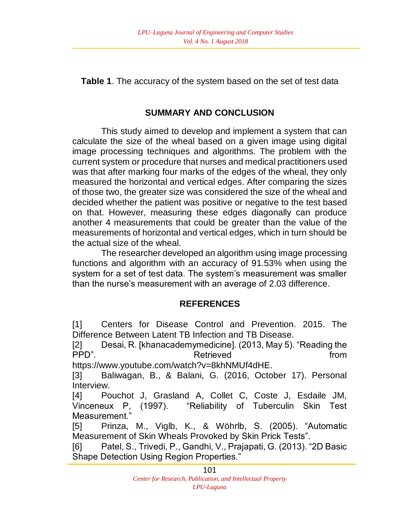**Table 1**. The accuracy of the system based on the set of test data

# **SUMMARY AND CONCLUSION**

This study aimed to develop and implement a system that can calculate the size of the wheal based on a given image using digital image processing techniques and algorithms. The problem with the current system or procedure that nurses and medical practitioners used was that after marking four marks of the edges of the wheal, they only measured the horizontal and vertical edges. After comparing the sizes of those two, the greater size was considered the size of the wheal and decided whether the patient was positive or negative to the test based on that. However, measuring these edges diagonally can produce another 4 measurements that could be greater than the value of the measurements of horizontal and vertical edges, which in turn should be the actual size of the wheal.

The researcher developed an algorithm using image processing functions and algorithm with an accuracy of 91.53% when using the system for a set of test data. The system's measurement was smaller than the nurse's measurement with an average of 2.03 difference.

# **REFERENCES**

[1] Centers for Disease Control and Prevention. 2015. The Difference Between Latent TB Infection and TB Disease.

[2] Desai, R. [khanacademymedicine]. (2013, May 5). "Reading the PPD". The retrieved contract and retrieved from the from the set of the set of the set of the set of the set of the set of the set of the set of the set of the set of the set of the set of the set of the set of the set of

https://www.youtube.com/watch?v=8khNMUf4dHE.

[3] Baliwagan, B., & Balani, G. (2016, October 17). Personal Interview.

[4] Pouchot J, Grasland A, Collet C, Coste J, Esdaile JM, Vinceneux P, (1997). "Reliability of Tuberculin Skin Test Measurement."

[5] Prinza, M., Viglb, K., & Wöhrlb, S. (2005). "Automatic Measurement of Skin Wheals Provoked by Skin Prick Tests".

[6] Patel, S., Trivedi, P., Gandhi, V., Prajapati, G. (2013). "2D Basic Shape Detection Using Region Properties."